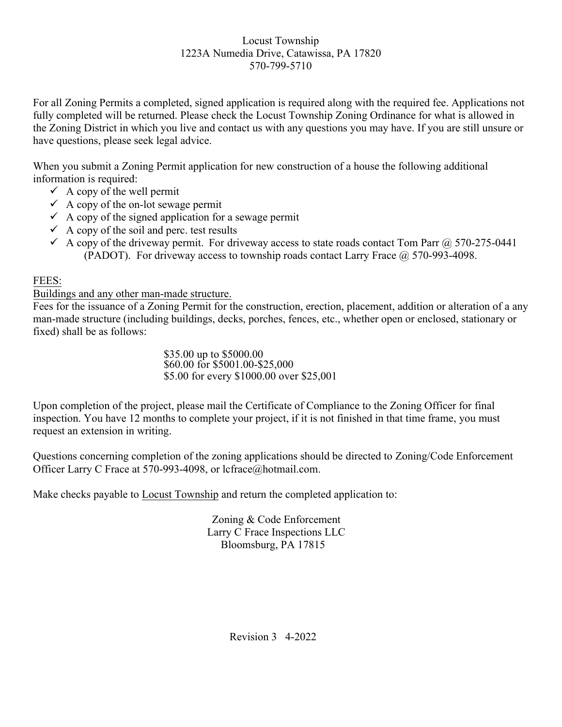For all Zoning Permits a completed, signed application is required along with the required fee. Applications not fully completed will be returned. Please check the Locust Township Zoning Ordinance for what is allowed in the Zoning District in which you live and contact us with any questions you may have. If you are still unsure or have questions, please seek legal advice.

When you submit a Zoning Permit application for new construction of a house the following additional information is required:

- $\checkmark$  A copy of the well permit
- $\checkmark$  A copy of the on-lot sewage permit
- $\checkmark$  A copy of the signed application for a sewage permit
- $\checkmark$  A copy of the soil and perc. test results
- A copy of the driveway permit. For driveway access to state roads contact Tom Parr @ 570-275-0441 (PADOT). For driveway access to township roads contact Larry Frace  $\omega$  570-993-4098.

## FEES:

Buildings and any other man-made structure.

Fees for the issuance of a Zoning Permit for the construction, erection, placement, addition or alteration of a any man-made structure (including buildings, decks, porches, fences, etc., whether open or enclosed, stationary or fixed) shall be as follows:

> \$35.00 up to \$5000.00 \$60.00 for \$5001.00-\$25,000 \$5.00 for every \$1000.00 over \$25,001

Upon completion of the project, please mail the Certificate of Compliance to the Zoning Officer for final inspection. You have 12 months to complete your project, if it is not finished in that time frame, you must request an extension in writing.

Questions concerning completion of the zoning applications should be directed to Zoning/Code Enforcement Officer Larry C Frace at 570-993-4098, or lcfrace@hotmail.com.

Make checks payable to Locust Township and return the completed application to:

Zoning & Code Enforcement Larry C Frace Inspections LLC Bloomsburg, PA 17815

Revision 3 4-2022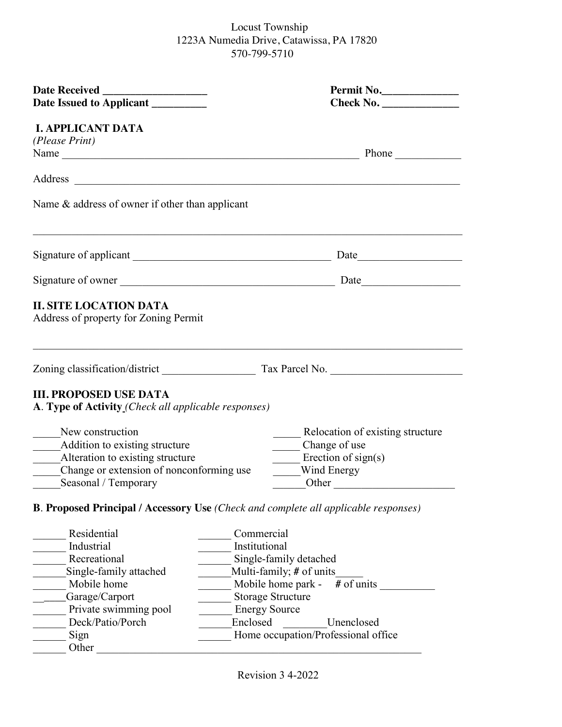| Date Issued to Applicant _________                                                    | Permit No.                                                                                 |  |  |  |
|---------------------------------------------------------------------------------------|--------------------------------------------------------------------------------------------|--|--|--|
| <b>I. APPLICANT DATA</b>                                                              |                                                                                            |  |  |  |
| (Please Print)                                                                        |                                                                                            |  |  |  |
|                                                                                       | Name Phone Phone                                                                           |  |  |  |
|                                                                                       |                                                                                            |  |  |  |
|                                                                                       |                                                                                            |  |  |  |
| Name $&$ address of owner if other than applicant                                     |                                                                                            |  |  |  |
|                                                                                       |                                                                                            |  |  |  |
|                                                                                       | Signature of owner                                                                         |  |  |  |
| Address of property for Zoning Permit                                                 |                                                                                            |  |  |  |
| <b>III. PROPOSED USE DATA</b><br>A. Type of Activity (Check all applicable responses) |                                                                                            |  |  |  |
| New construction                                                                      | Relocation of existing structure                                                           |  |  |  |
| Addition to existing structure                                                        | Change of use                                                                              |  |  |  |
| Alteration to existing structure                                                      | $\equiv$ Erection of sign(s)                                                               |  |  |  |
| Change or extension of nonconforming use                                              | Wind Energy                                                                                |  |  |  |
| Seasonal / Temporary<br>$\mathbb{R}^n$                                                | Other                                                                                      |  |  |  |
|                                                                                       | <b>B. Proposed Principal / Accessory Use (Check and complete all applicable responses)</b> |  |  |  |
| Residential                                                                           | Commercial                                                                                 |  |  |  |
| Industrial                                                                            | Institutional                                                                              |  |  |  |
| Recreational                                                                          | Single-family detached                                                                     |  |  |  |
| Single-family attached                                                                | Multi-family; # of units                                                                   |  |  |  |
| Mobile home                                                                           | $#$ of units<br>Mobile home park -                                                         |  |  |  |
| Garage/Carport                                                                        | <b>Storage Structure</b>                                                                   |  |  |  |
| Private swimming pool                                                                 | <b>Energy Source</b>                                                                       |  |  |  |
| Deck/Patio/Porch                                                                      | Enclosed<br>Unenclosed                                                                     |  |  |  |
| Sign                                                                                  | Home occupation/Professional office                                                        |  |  |  |
| Other                                                                                 |                                                                                            |  |  |  |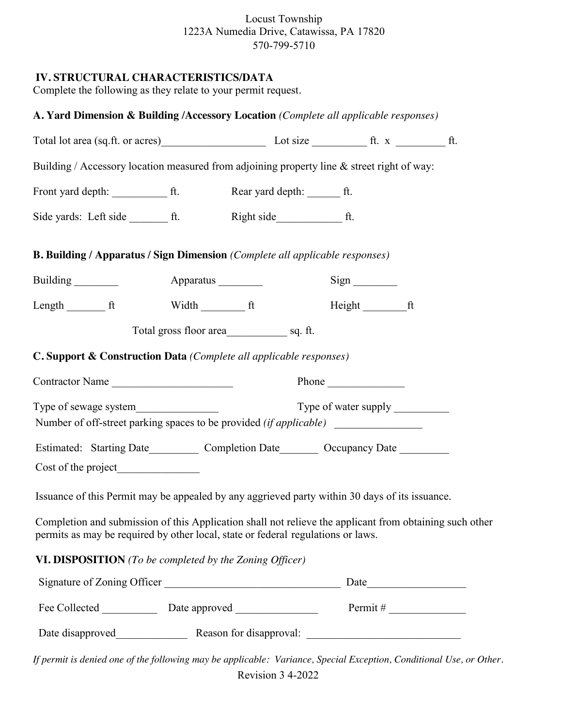### **IV. STRUCTURAL CHARACTERISTICS/DATA**

Complete the following as they relate to your permit request.

| A. Yard Dimension & Building /Accessory Location (Complete all applicable responses)                                                                                                        |                          |  |                                |  |  |
|---------------------------------------------------------------------------------------------------------------------------------------------------------------------------------------------|--------------------------|--|--------------------------------|--|--|
|                                                                                                                                                                                             |                          |  |                                |  |  |
| Building / Accessory location measured from adjoining property line & street right of way:                                                                                                  |                          |  |                                |  |  |
|                                                                                                                                                                                             |                          |  |                                |  |  |
|                                                                                                                                                                                             |                          |  |                                |  |  |
| <b>B. Building / Apparatus / Sign Dimension (Complete all applicable responses)</b>                                                                                                         |                          |  |                                |  |  |
|                                                                                                                                                                                             |                          |  | $Sign$ <sub>____________</sub> |  |  |
| Length ft Width Theory                                                                                                                                                                      |                          |  | Height ft                      |  |  |
| C. Support & Construction Data (Complete all applicable responses)                                                                                                                          |                          |  |                                |  |  |
|                                                                                                                                                                                             | Contractor Name<br>Phone |  |                                |  |  |
| Number of off-street parking spaces to be provided (if applicable)                                                                                                                          |                          |  |                                |  |  |
| Estimated: Starting Date___________ Completion Date_________ Occupancy Date ________                                                                                                        |                          |  |                                |  |  |
| Issuance of this Permit may be appealed by any aggrieved party within 30 days of its issuance.                                                                                              |                          |  |                                |  |  |
| Completion and submission of this Application shall not relieve the applicant from obtaining such other<br>permits as may be required by other local, state or federal regulations or laws. |                          |  |                                |  |  |
| VI. DISPOSITION (To be completed by the Zoning Officer)                                                                                                                                     |                          |  |                                |  |  |
|                                                                                                                                                                                             |                          |  |                                |  |  |
|                                                                                                                                                                                             |                          |  |                                |  |  |
|                                                                                                                                                                                             |                          |  |                                |  |  |

Revision 3 4-2022 *If permit is denied one of the following may be applicable: Variance, Special Exception, Conditional Use, or Other.*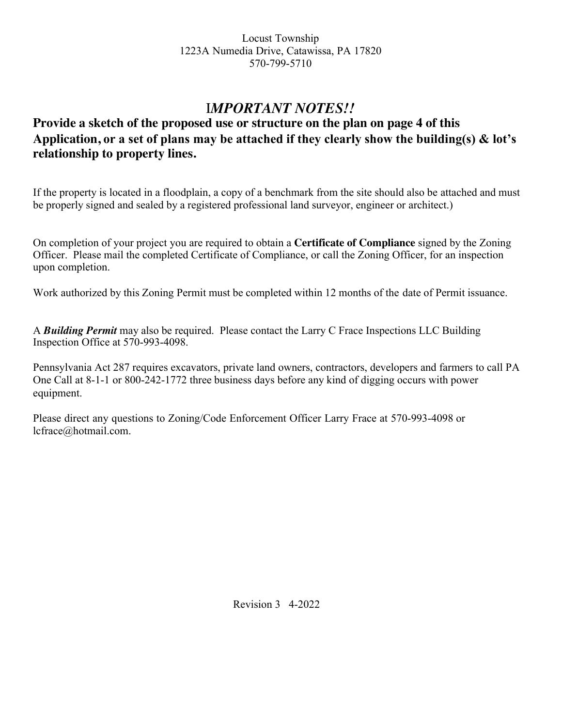# I*MPORTANT NOTES!!*

# **Provide a sketch of the proposed use or structure on the plan on page 4 of this Application, or a set of plans may be attached if they clearly show the building(s) & lot's relationship to property lines.**

If the property is located in a floodplain, a copy of a benchmark from the site should also be attached and must be properly signed and sealed by a registered professional land surveyor, engineer or architect.)

On completion of your project you are required to obtain a **Certificate of Compliance** signed by the Zoning Officer. Please mail the completed Certificate of Compliance, or call the Zoning Officer, for an inspection upon completion.

Work authorized by this Zoning Permit must be completed within 12 months of the date of Permit issuance.

A *Building Permit* may also be required. Please contact the Larry C Frace Inspections LLC Building Inspection Office at 570-993-4098.

Pennsylvania Act 287 requires excavators, private land owners, contractors, developers and farmers to call PA One Call at 8-1-1 or 800-242-1772 three business days before any kind of digging occurs with power equipment.

Please direct any questions to Zoning/Code Enforcement Officer Larry Frace at 570-993-4098 or lcfrace@hotmail.com.

Revision 3 4-2022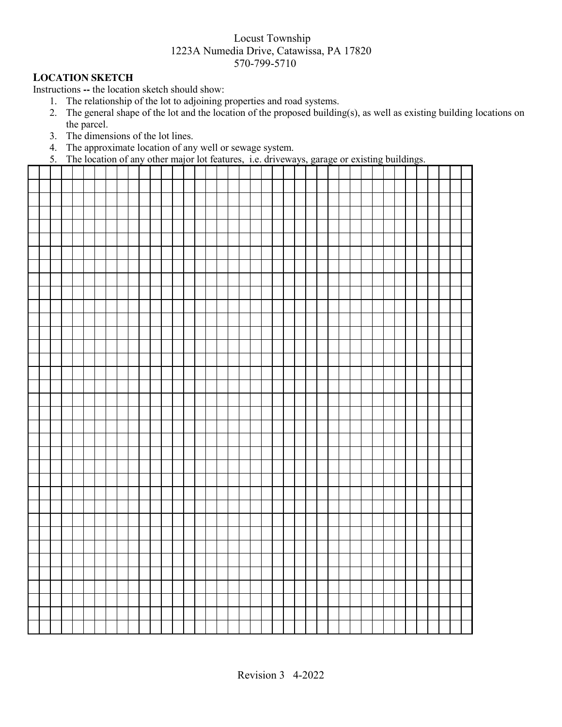#### **LOCATION SKETCH**

Instructions **--** the location sketch should show:

- 1. The relationship of the lot to adjoining properties and road systems.
- 2. The general shape of the lot and the location of the proposed building(s), as well as existing building locations on the parcel.
- 3. The dimensions of the lot lines.
- 4. The approximate location of any well or sewage system.
- 5. The location of any other major lot features, i.e. driveways, garage or existing buildings.